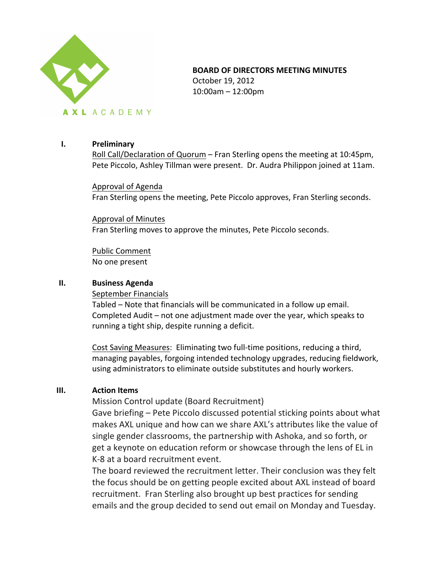

# **BOARD OF DIRECTORS MEETING MINUTES**

October 19, 2012 10:00am – 12:00pm

## **I. Preliminary**

Roll Call/Declaration of Quorum – Fran Sterling opens the meeting at 10:45pm, Pete Piccolo, Ashley Tillman were present. Dr. Audra Philippon joined at 11am.

Approval of Agenda Fran Sterling opens the meeting, Pete Piccolo approves, Fran Sterling seconds.

Approval of Minutes Fran Sterling moves to approve the minutes, Pete Piccolo seconds.

Public Comment No one present

### **II. Business Agenda**

September Financials

Tabled – Note that financials will be communicated in a follow up email. Completed Audit – not one adjustment made over the year, which speaks to running a tight ship, despite running a deficit.

Cost Saving Measures: Eliminating two full-time positions, reducing a third, managing payables, forgoing intended technology upgrades, reducing fieldwork, using administrators to eliminate outside substitutes and hourly workers.

### **III. Action Items**

Mission Control update (Board Recruitment)

Gave briefing – Pete Piccolo discussed potential sticking points about what makes AXL unique and how can we share AXL's attributes like the value of single gender classrooms, the partnership with Ashoka, and so forth, or get a keynote on education reform or showcase through the lens of EL in K-8 at a board recruitment event.

The board reviewed the recruitment letter. Their conclusion was they felt the focus should be on getting people excited about AXL instead of board recruitment. Fran Sterling also brought up best practices for sending emails and the group decided to send out email on Monday and Tuesday.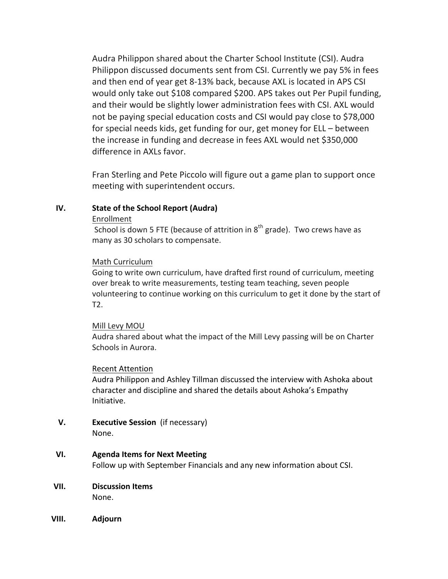Audra Philippon shared about the Charter School Institute (CSI). Audra Philippon discussed documents sent from CSI. Currently we pay 5% in fees and then end of year get 8-13% back, because AXL is located in APS CSI would only take out \$108 compared \$200. APS takes out Per Pupil funding, and their would be slightly lower administration fees with CSI. AXL would not be paying special education costs and CSI would pay close to \$78,000 for special needs kids, get funding for our, get money for ELL – between the increase in funding and decrease in fees AXL would net \$350,000 difference in AXLs favor.

Fran Sterling and Pete Piccolo will figure out a game plan to support once meeting with superintendent occurs.

### **IV.** State of the School Report (Audra)

#### Enrollment

School is down 5 FTE (because of attrition in  $8<sup>th</sup>$  grade). Two crews have as many as 30 scholars to compensate.

### Math Curriculum

Going to write own curriculum, have drafted first round of curriculum, meeting over break to write measurements, testing team teaching, seven people volunteering to continue working on this curriculum to get it done by the start of T2.

### Mill Levy MOU

Audra shared about what the impact of the Mill Levy passing will be on Charter Schools in Aurora.

### Recent Attention

Audra Philippon and Ashley Tillman discussed the interview with Ashoka about character and discipline and shared the details about Ashoka's Empathy Initiative. 

**V. Executive Session** (if necessary) None.

### **VI. Agenda Items for Next Meeting**

Follow up with September Financials and any new information about CSI.

- **VII. Discussion Items** None.
- **VIII. Adjourn**